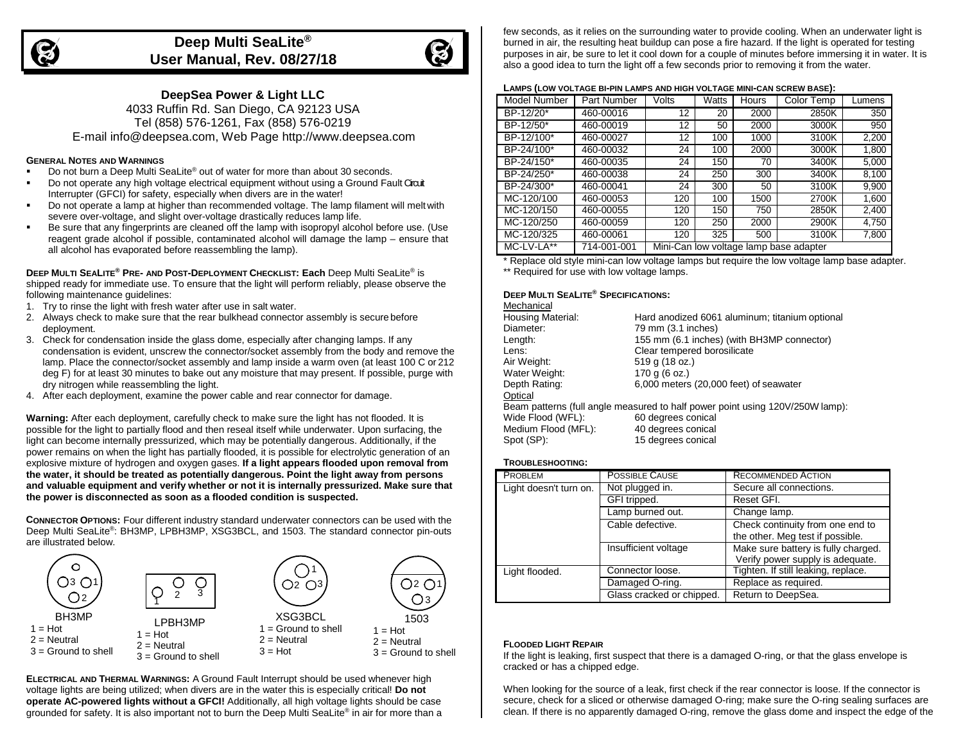

# **Deep Multi SeaLite® User Manual, Rev. 08/27/18**



**DeepSea Power & Light LLC**

4033 Ruffin Rd. San Diego, CA 92123 USA Tel (858) 576-1261, Fax (858) 576-0219 E-mai[l info@deepsea.com, W](mailto:info@deepsea.com)eb Page [http://www.deepsea.com](http://www.deepsea.com/)

## **GENERAL NOTES AND WARNINGS**

- Do not burn a Deep Multi SeaLite® out of water for more than about 30 seconds.
- **Do not operate any high voltage electrical equipment without using a Ground Fault Circuit** Interrupter (GFCI) for safety, especially when divers are in the water!
- Do not operate a lamp at higher than recommended voltage. The lamp filament will melt with severe over-voltage, and slight over-voltage drastically reduces lamp life.
- Be sure that any fingerprints are cleaned off the lamp with isopropyl alcohol before use. (Use reagent grade alcohol if possible, contaminated alcohol will damage the lamp – ensure that all alcohol has evaporated before reassembling the lamp).

**DEEP MULTI SEALITE® PRE- AND POST-DEPLOYMENT CHECKLIST: Each** Deep Multi SeaLite® is shipped ready for immediate use. To ensure that the light will perform reliably, please observe the following maintenance guidelines:

- 1. Try to rinse the light with fresh water after use in salt water.
- 2. Always check to make sure that the rear bulkhead connector assembly is secure before deployment.
- 3. Check for condensation inside the glass dome, especially after changing lamps. If any condensation is evident, unscrew the connector/socket assembly from the body and remove the lamp. Place the connector/socket assembly and lamp inside a warm oven (at least 100 C or 212 deg F) for at least 30 minutes to bake out any moisture that may present. If possible, purge with dry nitrogen while reassembling the light.
- 4. After each deployment, examine the power cable and rear connector for damage.

**Warning:** After each deployment, carefully check to make sure the light has not flooded. It is possible for the light to partially flood and then reseal itself while underwater. Upon surfacing, the light can become internally pressurized, which may be potentially dangerous. Additionally, if the power remains on when the light has partially flooded, it is possible for electrolytic generation of an explosive mixture of hydrogen and oxygen gases. **If a light appears flooded upon removal from the water, it should be treated as potentially dangerous. Point the light away from persons and valuable equipment and verify whether or not it is internally pressurized. Make sure that the power is disconnected as soon as a flooded condition is suspected.**

**CONNECTOR OPTIONS:** Four different industry standard underwater connectors can be used with the Deep Multi SeaLite®: BH3MP, LPBH3MP, XSG3BCL, and 1503. The standard connector pin-outs are illustrated below.



**ELECTRICAL AND THERMAL WARNINGS:** A Ground Fault Interrupt should be used whenever high voltage lights are being utilized; when divers are in the water this is especially critical! **Do not operate AC-powered lights without a GFCI!** Additionally, all high voltage lights should be case grounded for safety. It is also important not to burn the Deep Multi SeaLite® in air for more than a few seconds, as it relies on the surrounding water to provide cooling. When an underwater light is burned in air, the resulting heat buildup can pose a fire hazard. If the light is operated for testing purposes in air, be sure to let it cool down for a couple of minutes before immersing it in water. It is also a good idea to turn the light off a few seconds prior to removing it from the water.

## **LAMPS (LOW VOLTAGE BI-PIN LAMPS AND HIGH VOLTAGE MINI-CAN SCREW BASE):**

| Model Number | Part Number | Volts | <b>Watts</b> | Hours | Color Temp                             | Lumens |
|--------------|-------------|-------|--------------|-------|----------------------------------------|--------|
| BP-12/20*    | 460-00016   | 12    | 20           | 2000  | 2850K                                  | 350    |
| BP-12/50*    | 460-00019   | 12    | 50           | 2000  | 3000K                                  | 950    |
| BP-12/100*   | 460-00027   | 12    | 100          | 1000  | 3100K                                  | 2,200  |
| BP-24/100*   | 460-00032   | 24    | 100          | 2000  | 3000K                                  | 1,800  |
| BP-24/150*   | 460-00035   | 24    | 150          | 70    | 3400K                                  | 5,000  |
| BP-24/250*   | 460-00038   | 24    | 250          | 300   | 3400K                                  | 8,100  |
| BP-24/300*   | 460-00041   | 24    | 300          | 50    | 3100K                                  | 9,900  |
| MC-120/100   | 460-00053   | 120   | 100          | 1500  | 2700K                                  | 1,600  |
| MC-120/150   | 460-00055   | 120   | 150          | 750   | 2850K                                  | 2,400  |
| MC-120/250   | 460-00059   | 120   | 250          | 2000  | 2900K                                  | 4,750  |
| MC-120/325   | 460-00061   | 120   | 325          | 500   | 3100K                                  | 7,800  |
| MC-LV-LA**   | 714-001-001 |       |              |       | Mini-Can low voltage lamp base adapter |        |

\* Replace old style mini-can low voltage lamps but require the low voltage lamp base adapter. \*\* Required for use with low voltage lamps.

## **DEEP MULTI SEALITE® SPECIFICATIONS:**

| Mechanical               |                                                                               |
|--------------------------|-------------------------------------------------------------------------------|
| <b>Housing Material:</b> | Hard anodized 6061 aluminum; titanium optional                                |
| Diameter:                | 79 mm (3.1 inches)                                                            |
| Length:                  | 155 mm (6.1 inches) (with BH3MP connector)                                    |
| Lens:                    | Clear tempered borosilicate                                                   |
| Air Weight:              | 519 g (18 oz.)                                                                |
| Water Weight:            | 170 g (6 oz.)                                                                 |
| Depth Rating:            | 6,000 meters (20,000 feet) of seawater                                        |
| Optical                  |                                                                               |
|                          | Beam patterns (full angle measured to half power point using 120V/250W lamp): |
| Wide Flood (WFL):        | 60 degrees conical                                                            |
| Medium Flood (MFL):      | 40 degrees conical                                                            |

| Spot (SP): |  | 15 degrees conical |
|------------|--|--------------------|

### **TROUBLESHOOTING:**

| <b>PROBLEM</b>         | <b>POSSIBLE CAUSE</b>     | <b>RECOMMENDED ACTION</b>                                               |  |
|------------------------|---------------------------|-------------------------------------------------------------------------|--|
| Light doesn't turn on. | Not plugged in.           | Secure all connections.                                                 |  |
|                        | GFI tripped.              | Reset GFI.                                                              |  |
|                        | Lamp burned out.          | Change lamp.                                                            |  |
|                        | Cable defective.          | Check continuity from one end to<br>the other. Meg test if possible.    |  |
|                        | Insufficient voltage      | Make sure battery is fully charged.<br>Verify power supply is adequate. |  |
| Light flooded.         | Connector loose.          | Tighten. If still leaking, replace.                                     |  |
|                        | Damaged O-ring.           | Replace as required.                                                    |  |
|                        | Glass cracked or chipped. | Return to DeepSea.                                                      |  |

#### **FLOODED LIGHT REPAIR**

If the light is leaking, first suspect that there is a damaged O-ring, or that the glass envelope is cracked or has a chipped edge.

When looking for the source of a leak, first check if the rear connector is loose. If the connector is secure, check for a sliced or otherwise damaged O-ring; make sure the O-ring sealing surfaces are clean. If there is no apparently damaged O-ring, remove the glass dome and inspect the edge of the